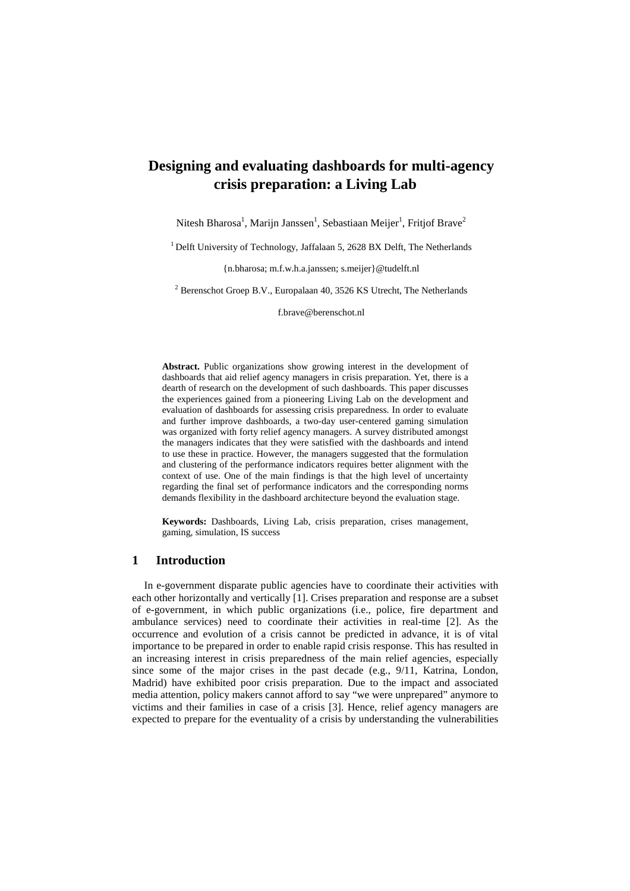# **Designing and evaluating dashboards for multi-agency crisis preparation: a Living Lab**

Nitesh Bharosa<sup>1</sup>, Marijn Janssen<sup>1</sup>, Sebastiaan Meijer<sup>1</sup>, Fritjof Brave<sup>2</sup>

 $1$  Delft University of Technology, Jaffalaan 5, 2628 BX Delft. The Netherlands

{n.bharosa; m.f.w.h.a.janssen; s.meijer}@tudelft.nl

<sup>2</sup> Berenschot Groep B.V., Europalaan 40, 3526 KS Utrecht, The Netherlands

f.brave@berenschot.nl

**Abstract.** Public organizations show growing interest in the development of dashboards that aid relief agency managers in crisis preparation. Yet, there is a dearth of research on the development of such dashboards. This paper discusses the experiences gained from a pioneering Living Lab on the development and evaluation of dashboards for assessing crisis preparedness. In order to evaluate and further improve dashboards, a two-day user-centered gaming simulation was organized with forty relief agency managers. A survey distributed amongst the managers indicates that they were satisfied with the dashboards and intend to use these in practice. However, the managers suggested that the formulation and clustering of the performance indicators requires better alignment with the context of use. One of the main findings is that the high level of uncertainty regarding the final set of performance indicators and the corresponding norms demands flexibility in the dashboard architecture beyond the evaluation stage.

**Keywords:** Dashboards, Living Lab, crisis preparation, crises management, gaming, simulation, IS success

### **1 Introduction**

In e-government disparate public agencies have to coordinate their activities with each other horizontally and vertically [1]. Crises preparation and response are a subset of e-government, in which public organizations (i.e., police, fire department and ambulance services) need to coordinate their activities in real-time [2]. As the occurrence and evolution of a crisis cannot be predicted in advance, it is of vital importance to be prepared in order to enable rapid crisis response. This has resulted in an increasing interest in crisis preparedness of the main relief agencies, especially since some of the major crises in the past decade (e.g., 9/11, Katrina, London, Madrid) have exhibited poor crisis preparation. Due to the impact and associated media attention, policy makers cannot afford to say "we were unprepared" anymore to victims and their families in case of a crisis [3]. Hence, relief agency managers are expected to prepare for the eventuality of a crisis by understanding the vulnerabilities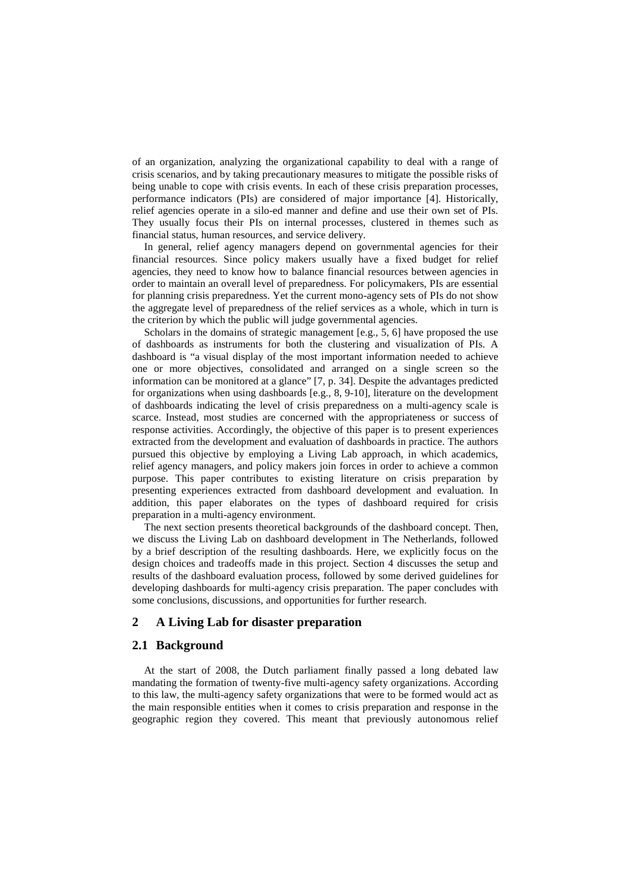of an organization, analyzing the organizational capability to deal with a range of crisis scenarios, and by taking precautionary measures to mitigate the possible risks of being unable to cope with crisis events. In each of these crisis preparation processes, performance indicators (PIs) are considered of major importance [4]. Historically, relief agencies operate in a silo-ed manner and define and use their own set of PIs. They usually focus their PIs on internal processes, clustered in themes such as financial status, human resources, and service delivery.

In general, relief agency managers depend on governmental agencies for their financial resources. Since policy makers usually have a fixed budget for relief agencies, they need to know how to balance financial resources between agencies in order to maintain an overall level of preparedness. For policymakers, PIs are essential for planning crisis preparedness. Yet the current mono-agency sets of PIs do not show the aggregate level of preparedness of the relief services as a whole, which in turn is the criterion by which the public will judge governmental agencies.

Scholars in the domains of strategic management [e.g., 5, 6] have proposed the use of dashboards as instruments for both the clustering and visualization of PIs. A dashboard is "a visual display of the most important information needed to achieve one or more objectives, consolidated and arranged on a single screen so the information can be monitored at a glance" [7, p. 34]. Despite the advantages predicted for organizations when using dashboards [e.g., 8, 9-10], literature on the development of dashboards indicating the level of crisis preparedness on a multi-agency scale is scarce. Instead, most studies are concerned with the appropriateness or success of response activities. Accordingly, the objective of this paper is to present experiences extracted from the development and evaluation of dashboards in practice. The authors pursued this objective by employing a Living Lab approach, in which academics, relief agency managers, and policy makers join forces in order to achieve a common purpose. This paper contributes to existing literature on crisis preparation by presenting experiences extracted from dashboard development and evaluation. In addition, this paper elaborates on the types of dashboard required for crisis preparation in a multi-agency environment.

The next section presents theoretical backgrounds of the dashboard concept. Then, we discuss the Living Lab on dashboard development in The Netherlands, followed by a brief description of the resulting dashboards. Here, we explicitly focus on the design choices and tradeoffs made in this project. Section 4 discusses the setup and results of the dashboard evaluation process, followed by some derived guidelines for developing dashboards for multi-agency crisis preparation. The paper concludes with some conclusions, discussions, and opportunities for further research.

# **2 A Living Lab for disaster preparation**

#### **2.1 Background**

At the start of 2008, the Dutch parliament finally passed a long debated law mandating the formation of twenty-five multi-agency safety organizations. According to this law, the multi-agency safety organizations that were to be formed would act as the main responsible entities when it comes to crisis preparation and response in the geographic region they covered. This meant that previously autonomous relief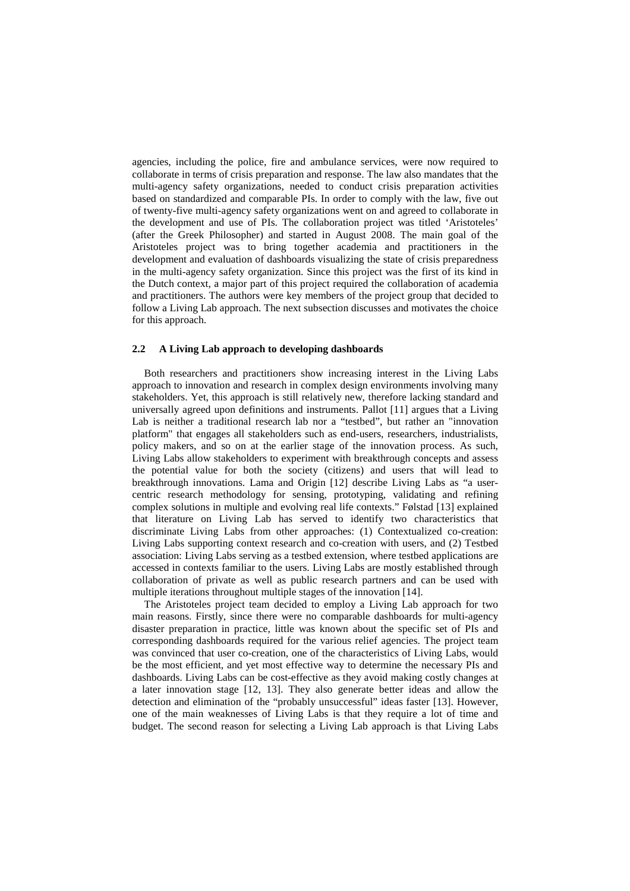agencies, including the police, fire and ambulance services, were now required to collaborate in terms of crisis preparation and response. The law also mandates that the multi-agency safety organizations, needed to conduct crisis preparation activities based on standardized and comparable PIs. In order to comply with the law, five out of twenty-five multi-agency safety organizations went on and agreed to collaborate in the development and use of PIs. The collaboration project was titled 'Aristoteles' (after the Greek Philosopher) and started in August 2008. The main goal of the Aristoteles project was to bring together academia and practitioners in the development and evaluation of dashboards visualizing the state of crisis preparedness in the multi-agency safety organization. Since this project was the first of its kind in the Dutch context, a major part of this project required the collaboration of academia and practitioners. The authors were key members of the project group that decided to follow a Living Lab approach. The next subsection discusses and motivates the choice for this approach.

#### **2.2 A Living Lab approach to developing dashboards**

Both researchers and practitioners show increasing interest in the Living Labs approach to innovation and research in complex design environments involving many stakeholders. Yet, this approach is still relatively new, therefore lacking standard and universally agreed upon definitions and instruments. Pallot [11] argues that a Living Lab is neither a traditional research lab nor a "testbed", but rather an "innovation platform" that engages all stakeholders such as end-users, researchers, industrialists, policy makers, and so on at the earlier stage of the innovation process. As such, Living Labs allow stakeholders to experiment with breakthrough concepts and assess the potential value for both the society (citizens) and users that will lead to breakthrough innovations. Lama and Origin [12] describe Living Labs as "a usercentric research methodology for sensing, prototyping, validating and refining complex solutions in multiple and evolving real life contexts." Følstad [13] explained that literature on Living Lab has served to identify two characteristics that discriminate Living Labs from other approaches: (1) Contextualized co-creation: Living Labs supporting context research and co-creation with users, and (2) Testbed association: Living Labs serving as a testbed extension, where testbed applications are accessed in contexts familiar to the users. Living Labs are mostly established through collaboration of private as well as public research partners and can be used with multiple iterations throughout multiple stages of the innovation [14].

The Aristoteles project team decided to employ a Living Lab approach for two main reasons. Firstly, since there were no comparable dashboards for multi-agency disaster preparation in practice, little was known about the specific set of PIs and corresponding dashboards required for the various relief agencies. The project team was convinced that user co-creation, one of the characteristics of Living Labs, would be the most efficient, and yet most effective way to determine the necessary PIs and dashboards. Living Labs can be cost-effective as they avoid making costly changes at a later innovation stage [12, 13]. They also generate better ideas and allow the detection and elimination of the "probably unsuccessful" ideas faster [13]. However, one of the main weaknesses of Living Labs is that they require a lot of time and budget. The second reason for selecting a Living Lab approach is that Living Labs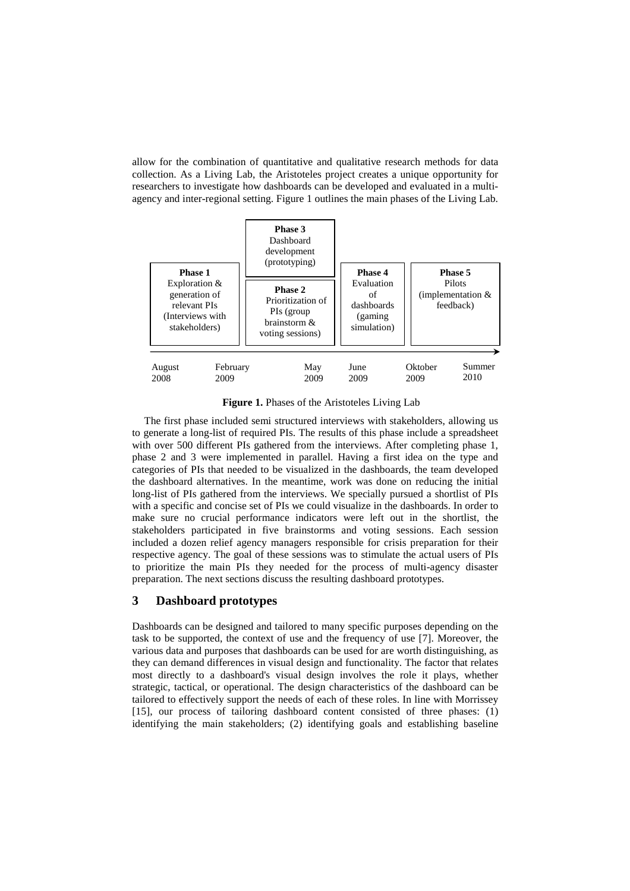allow for the combination of quantitative and qualitative research methods for data collection. As a Living Lab, the Aristoteles project creates a unique opportunity for researchers to investigate how dashboards can be developed and evaluated in a multiagency and inter-regional setting. Figure 1 outlines the main phases of the Living Lab.



**Figure 1.** Phases of the Aristoteles Living Lab

The first phase included semi structured interviews with stakeholders, allowing us to generate a long-list of required PIs. The results of this phase include a spreadsheet with over 500 different PIs gathered from the interviews. After completing phase 1, phase 2 and 3 were implemented in parallel. Having a first idea on the type and categories of PIs that needed to be visualized in the dashboards, the team developed the dashboard alternatives. In the meantime, work was done on reducing the initial long-list of PIs gathered from the interviews. We specially pursued a shortlist of PIs with a specific and concise set of PIs we could visualize in the dashboards. In order to make sure no crucial performance indicators were left out in the shortlist, the stakeholders participated in five brainstorms and voting sessions. Each session included a dozen relief agency managers responsible for crisis preparation for their respective agency. The goal of these sessions was to stimulate the actual users of PIs to prioritize the main PIs they needed for the process of multi-agency disaster preparation. The next sections discuss the resulting dashboard prototypes.

# **3 Dashboard prototypes**

Dashboards can be designed and tailored to many specific purposes depending on the task to be supported, the context of use and the frequency of use [7]. Moreover, the various data and purposes that dashboards can be used for are worth distinguishing, as they can demand differences in visual design and functionality. The factor that relates most directly to a dashboard's visual design involves the role it plays, whether strategic, tactical, or operational. The design characteristics of the dashboard can be tailored to effectively support the needs of each of these roles. In line with Morrissey [15], our process of tailoring dashboard content consisted of three phases: (1) identifying the main stakeholders; (2) identifying goals and establishing baseline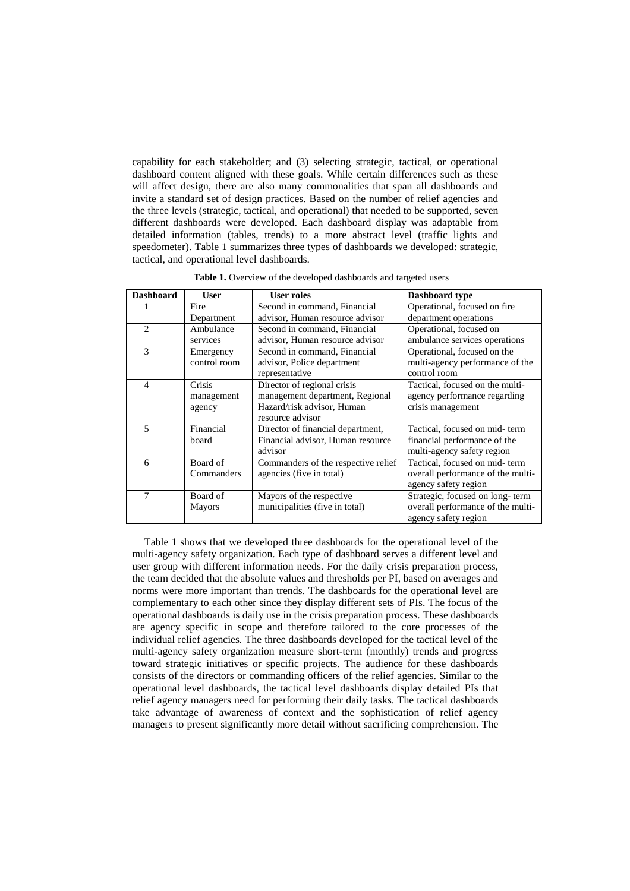capability for each stakeholder; and (3) selecting strategic, tactical, or operational dashboard content aligned with these goals. While certain differences such as these will affect design, there are also many commonalities that span all dashboards and invite a standard set of design practices. Based on the number of relief agencies and the three levels (strategic, tactical, and operational) that needed to be supported, seven different dashboards were developed. Each dashboard display was adaptable from detailed information (tables, trends) to a more abstract level (traffic lights and speedometer). Table 1 summarizes three types of dashboards we developed: strategic, tactical, and operational level dashboards.

| <b>Dashboard</b>         | <b>User</b>   | <b>User roles</b>                   | <b>Dashboard type</b>             |
|--------------------------|---------------|-------------------------------------|-----------------------------------|
|                          | Fire          | Second in command, Financial        | Operational, focused on fire      |
|                          | Department    | advisor, Human resource advisor     | department operations             |
| $\mathcal{D}_{\alpha}$   | Ambulance     | Second in command, Financial        | Operational, focused on           |
|                          | services      | advisor, Human resource advisor     | ambulance services operations     |
| 3                        | Emergency     | Second in command, Financial        | Operational, focused on the       |
|                          | control room  | advisor, Police department          | multi-agency performance of the   |
|                          |               | representative                      | control room                      |
| $\overline{\mathcal{A}}$ | Crisis        | Director of regional crisis         | Tactical, focused on the multi-   |
|                          | management    | management department, Regional     | agency performance regarding      |
|                          | agency        | Hazard/risk advisor, Human          | crisis management                 |
|                          |               | resource advisor                    |                                   |
| $\overline{5}$           | Financial     | Director of financial department,   | Tactical, focused on mid-term     |
|                          | board         | Financial advisor, Human resource   | financial performance of the      |
|                          |               | advisor                             | multi-agency safety region        |
| 6                        | Board of      | Commanders of the respective relief | Tactical, focused on mid-term     |
|                          | Commanders    | agencies (five in total)            | overall performance of the multi- |
|                          |               |                                     | agency safety region              |
| $\tau$                   | Board of      | Mayors of the respective            | Strategic, focused on long-term   |
|                          | <b>Mayors</b> | municipalities (five in total)      | overall performance of the multi- |
|                          |               |                                     | agency safety region              |

Table 1. Overview of the developed dashboards and targeted users

Table 1 shows that we developed three dashboards for the operational level of the multi-agency safety organization. Each type of dashboard serves a different level and user group with different information needs. For the daily crisis preparation process, the team decided that the absolute values and thresholds per PI, based on averages and norms were more important than trends. The dashboards for the operational level are complementary to each other since they display different sets of PIs. The focus of the operational dashboards is daily use in the crisis preparation process. These dashboards are agency specific in scope and therefore tailored to the core processes of the individual relief agencies. The three dashboards developed for the tactical level of the multi-agency safety organization measure short-term (monthly) trends and progress toward strategic initiatives or specific projects. The audience for these dashboards consists of the directors or commanding officers of the relief agencies. Similar to the operational level dashboards, the tactical level dashboards display detailed PIs that relief agency managers need for performing their daily tasks. The tactical dashboards take advantage of awareness of context and the sophistication of relief agency managers to present significantly more detail without sacrificing comprehension. The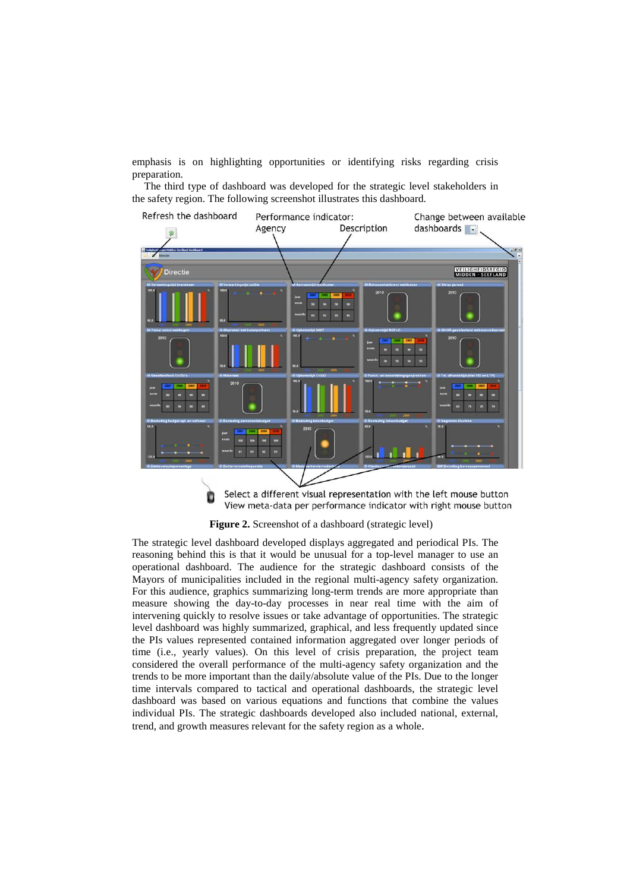emphasis is on highlighting opportunities or identifying risks regarding crisis preparation.

The third type of dashboard was developed for the strategic level stakeholders in the safety region. The following screenshot illustrates this dashboard.



Select a different visual representation with the left mouse button View meta-data per performance indicator with right mouse button

Figure 2. Screenshot of a dashboard (strategic level)

The strategic level dashboard developed displays aggregated and periodical PIs. The reasoning behind this is that it would be unusual for a top-level manager to use an operational dashboard. The audience for the strategic dashboard consists of the Mayors of municipalities included in the regional multi-agency safety organization. For this audience, graphics summarizing long-term trends are more appropriate than measure showing the day-to-day processes in near real time with the aim of intervening quickly to resolve issues or take advantage of opportunities. The strategic level dashboard was highly summarized, graphical, and less frequently updated since the PIs values represented contained information aggregated over longer periods of time (i.e., yearly values). On this level of crisis preparation, the project team considered the overall performance of the multi-agency safety organization and the trends to be more important than the daily/absolute value of the PIs. Due to the longer time intervals compared to tactical and operational dashboards, the strategic level dashboard was based on various equations and functions that combine the values individual PIs. The strategic dashboards developed also included national, external, trend, and growth measures relevant for the safety region as a whole.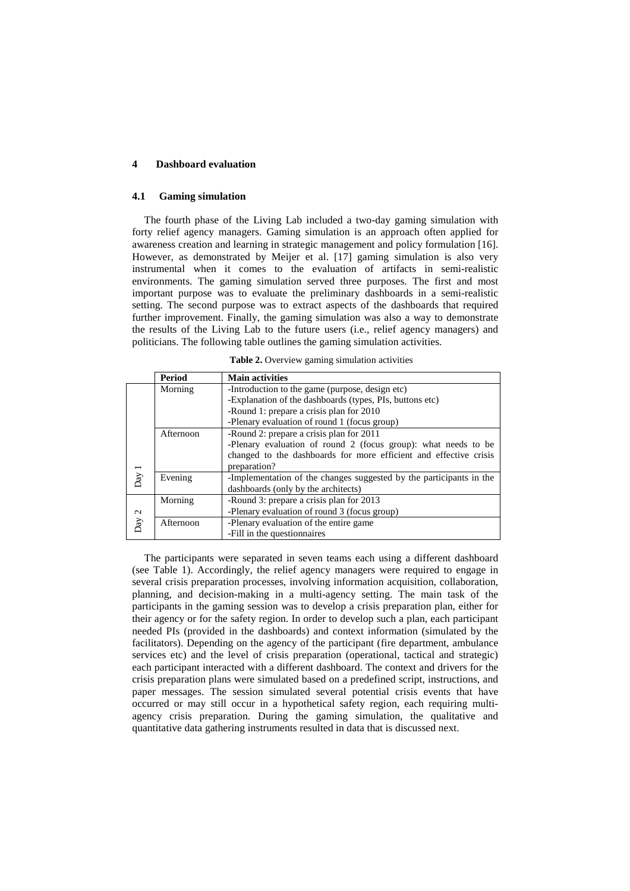#### **4 Dashboard evaluation**

#### **4.1 Gaming simulation**

The fourth phase of the Living Lab included a two-day gaming simulation with forty relief agency managers. Gaming simulation is an approach often applied for awareness creation and learning in strategic management and policy formulation [16]. However, as demonstrated by Meijer et al. [17] gaming simulation is also very instrumental when it comes to the evaluation of artifacts in semi-realistic environments. The gaming simulation served three purposes. The first and most important purpose was to evaluate the preliminary dashboards in a semi-realistic setting. The second purpose was to extract aspects of the dashboards that required further improvement. Finally, the gaming simulation was also a way to demonstrate the results of the Living Lab to the future users (i.e., relief agency managers) and politicians. The following table outlines the gaming simulation activities.

| <b>Period</b><br><b>Main activities</b>                               |           |                                                                     |  |
|-----------------------------------------------------------------------|-----------|---------------------------------------------------------------------|--|
|                                                                       | Morning   | -Introduction to the game (purpose, design etc)                     |  |
|                                                                       |           | -Explanation of the dashboards (types, PIs, buttons etc)            |  |
|                                                                       |           | -Round 1: prepare a crisis plan for 2010                            |  |
|                                                                       |           | -Plenary evaluation of round 1 (focus group)                        |  |
| -Round 2: prepare a crisis plan for 2011<br>Afternoon<br>preparation? |           |                                                                     |  |
|                                                                       |           | -Plenary evaluation of round 2 (focus group): what needs to be      |  |
|                                                                       |           | changed to the dashboards for more efficient and effective crisis   |  |
|                                                                       |           |                                                                     |  |
| Day 1                                                                 | Evening   | -Implementation of the changes suggested by the participants in the |  |
|                                                                       |           | dashboards (only by the architects)                                 |  |
|                                                                       | Morning   | -Round 3: prepare a crisis plan for 2013                            |  |
| $\mathcal{L}$<br>Day                                                  |           | -Plenary evaluation of round 3 (focus group)                        |  |
|                                                                       | Afternoon | -Plenary evaluation of the entire game                              |  |
|                                                                       |           | -Fill in the questionnaires                                         |  |

**Table 2.** Overview gaming simulation activities

The participants were separated in seven teams each using a different dashboard (see Table 1). Accordingly, the relief agency managers were required to engage in several crisis preparation processes, involving information acquisition, collaboration, planning, and decision-making in a multi-agency setting. The main task of the participants in the gaming session was to develop a crisis preparation plan, either for their agency or for the safety region. In order to develop such a plan, each participant needed PIs (provided in the dashboards) and context information (simulated by the facilitators). Depending on the agency of the participant (fire department, ambulance services etc) and the level of crisis preparation (operational, tactical and strategic) each participant interacted with a different dashboard. The context and drivers for the crisis preparation plans were simulated based on a predefined script, instructions, and paper messages. The session simulated several potential crisis events that have occurred or may still occur in a hypothetical safety region, each requiring multiagency crisis preparation. During the gaming simulation, the qualitative and quantitative data gathering instruments resulted in data that is discussed next.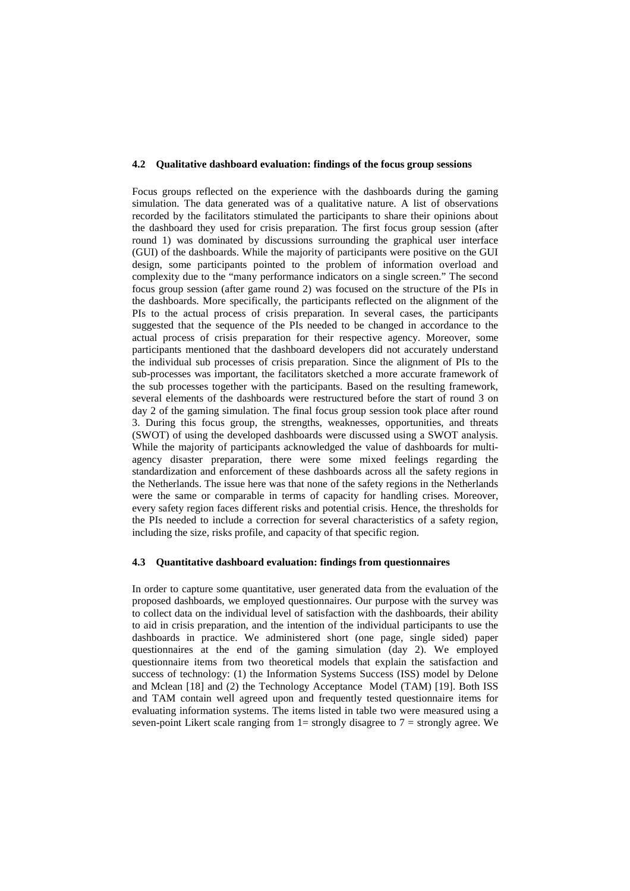#### **4.2 Qualitative dashboard evaluation: findings of the focus group sessions**

Focus groups reflected on the experience with the dashboards during the gaming simulation. The data generated was of a qualitative nature. A list of observations recorded by the facilitators stimulated the participants to share their opinions about the dashboard they used for crisis preparation. The first focus group session (after round 1) was dominated by discussions surrounding the graphical user interface (GUI) of the dashboards. While the majority of participants were positive on the GUI design, some participants pointed to the problem of information overload and complexity due to the "many performance indicators on a single screen." The second focus group session (after game round 2) was focused on the structure of the PIs in the dashboards. More specifically, the participants reflected on the alignment of the PIs to the actual process of crisis preparation. In several cases, the participants suggested that the sequence of the PIs needed to be changed in accordance to the actual process of crisis preparation for their respective agency. Moreover, some participants mentioned that the dashboard developers did not accurately understand the individual sub processes of crisis preparation. Since the alignment of PIs to the sub-processes was important, the facilitators sketched a more accurate framework of the sub processes together with the participants. Based on the resulting framework, several elements of the dashboards were restructured before the start of round 3 on day 2 of the gaming simulation. The final focus group session took place after round 3. During this focus group, the strengths, weaknesses, opportunities, and threats (SWOT) of using the developed dashboards were discussed using a SWOT analysis. While the majority of participants acknowledged the value of dashboards for multiagency disaster preparation, there were some mixed feelings regarding the standardization and enforcement of these dashboards across all the safety regions in the Netherlands. The issue here was that none of the safety regions in the Netherlands were the same or comparable in terms of capacity for handling crises. Moreover, every safety region faces different risks and potential crisis. Hence, the thresholds for the PIs needed to include a correction for several characteristics of a safety region, including the size, risks profile, and capacity of that specific region.

## **4.3 Quantitative dashboard evaluation: findings from questionnaires**

In order to capture some quantitative, user generated data from the evaluation of the proposed dashboards, we employed questionnaires. Our purpose with the survey was to collect data on the individual level of satisfaction with the dashboards, their ability to aid in crisis preparation, and the intention of the individual participants to use the dashboards in practice. We administered short (one page, single sided) paper questionnaires at the end of the gaming simulation (day 2). We employed questionnaire items from two theoretical models that explain the satisfaction and success of technology: (1) the Information Systems Success (ISS) model by Delone and Mclean [18] and (2) the Technology Acceptance Model (TAM) [19]. Both ISS and TAM contain well agreed upon and frequently tested questionnaire items for evaluating information systems. The items listed in table two were measured using a seven-point Likert scale ranging from  $1=$  strongly disagree to  $7=$  strongly agree. We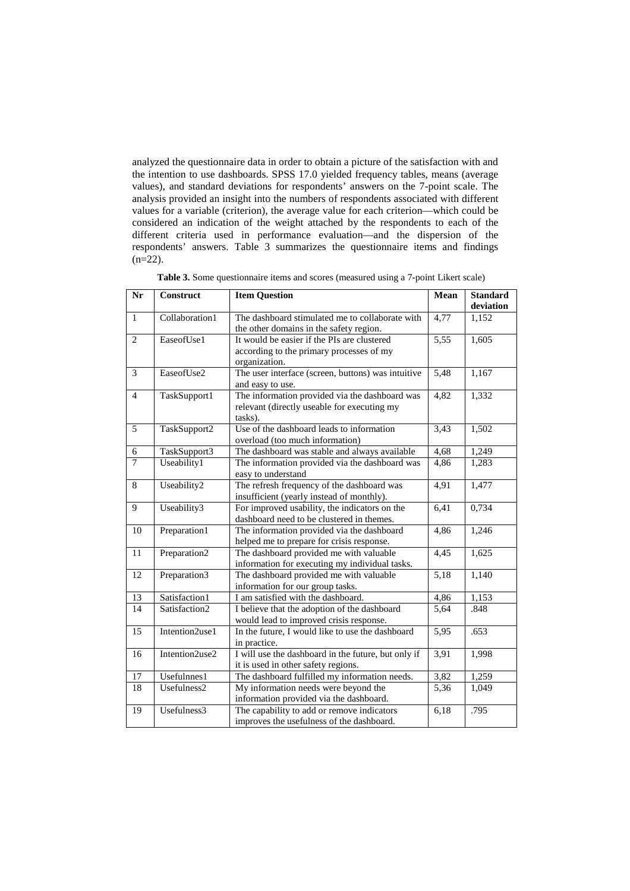analyzed the questionnaire data in order to obtain a picture of the satisfaction with and the intention to use dashboards. SPSS 17.0 yielded frequency tables, means (average values), and standard deviations for respondents' answers on the 7-point scale. The analysis provided an insight into the numbers of respondents associated with different values for a variable (criterion), the average value for each criterion—which could be considered an indication of the weight attached by the respondents to each of the different criteria used in performance evaluation—and the dispersion of the respondents' answers. Table 3 summarizes the questionnaire items and findings  $(n=22)$ .

| Nr             | Construct      | <b>Item Question</b>                                                                                     |      | <b>Standard</b><br>deviation |
|----------------|----------------|----------------------------------------------------------------------------------------------------------|------|------------------------------|
| $\mathbf{1}$   | Collaboration1 | The dashboard stimulated me to collaborate with<br>the other domains in the safety region.               | 4,77 | 1,152                        |
| $\overline{2}$ | EaseofUse1     | It would be easier if the PIs are clustered<br>according to the primary processes of my<br>organization. | 5,55 | 1,605                        |
| 3              | EaseofUse2     | The user interface (screen, buttons) was intuitive<br>and easy to use.                                   | 5,48 | 1,167                        |
| $\overline{4}$ | TaskSupport1   | The information provided via the dashboard was<br>relevant (directly useable for executing my<br>tasks). | 4,82 | 1,332                        |
| 5              | TaskSupport2   | Use of the dashboard leads to information<br>overload (too much information)                             | 3,43 | 1,502                        |
| 6              | TaskSupport3   | The dashboard was stable and always available                                                            | 4,68 | 1,249                        |
| $\overline{7}$ | Useability1    | The information provided via the dashboard was<br>4,86<br>easy to understand                             |      | 1,283                        |
| 8              | Useability2    | The refresh frequency of the dashboard was<br>insufficient (yearly instead of monthly).                  | 4,91 | 1,477                        |
| 9              | Useability3    | For improved usability, the indicators on the<br>dashboard need to be clustered in themes.               | 6,41 | 0,734                        |
| 10             | Preparation1   | The information provided via the dashboard<br>helped me to prepare for crisis response.                  | 4,86 | 1,246                        |
| 11             | Preparation2   | The dashboard provided me with valuable<br>4,45<br>information for executing my individual tasks.        |      | 1,625                        |
| 12             | Preparation3   | The dashboard provided me with valuable<br>5,18<br>information for our group tasks.                      |      | 1,140                        |
| 13             | Satisfaction1  | I am satisfied with the dashboard.                                                                       | 4,86 | 1,153                        |
| 14             | Satisfaction2  | I believe that the adoption of the dashboard<br>5,64<br>.848<br>would lead to improved crisis response.  |      |                              |
| 15             | Intention2use1 | In the future, I would like to use the dashboard<br>5,95<br>in practice.                                 |      | .653                         |
| 16             | Intention2use2 | I will use the dashboard in the future, but only if<br>it is used in other safety regions.               |      | 1,998                        |
| 17             | Usefulnnes1    | The dashboard fulfilled my information needs.                                                            | 3,82 | 1,259                        |
| 18             | Usefulness2    | My information needs were beyond the<br>1,049<br>5,36<br>information provided via the dashboard.         |      |                              |
| 19             | Usefulness3    | The capability to add or remove indicators<br>improves the usefulness of the dashboard.                  |      | .795                         |

**Table 3.** Some questionnaire items and scores (measured using a 7-point Likert scale)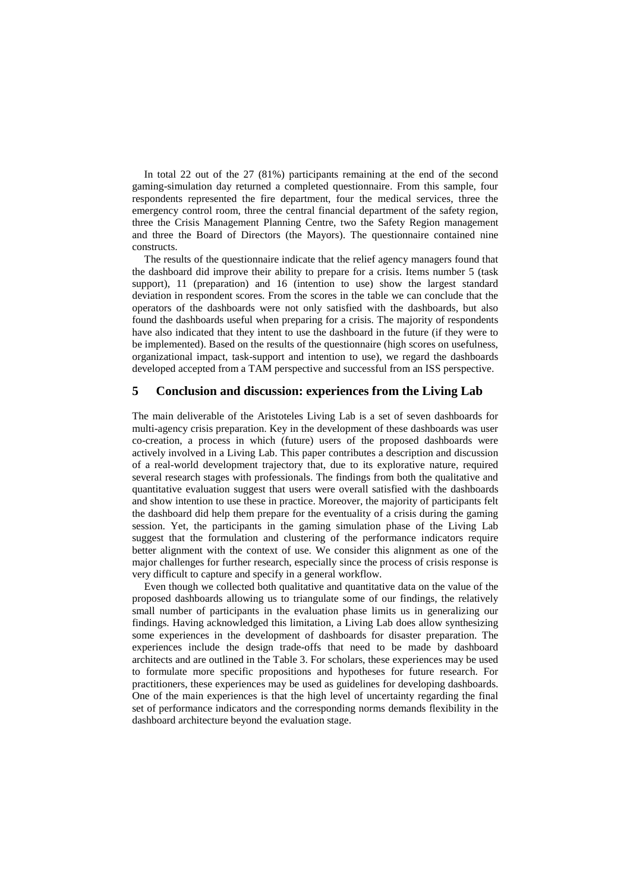In total 22 out of the 27 (81%) participants remaining at the end of the second gaming-simulation day returned a completed questionnaire. From this sample, four respondents represented the fire department, four the medical services, three the emergency control room, three the central financial department of the safety region, three the Crisis Management Planning Centre, two the Safety Region management and three the Board of Directors (the Mayors). The questionnaire contained nine constructs.

The results of the questionnaire indicate that the relief agency managers found that the dashboard did improve their ability to prepare for a crisis. Items number 5 (task support), 11 (preparation) and 16 (intention to use) show the largest standard deviation in respondent scores. From the scores in the table we can conclude that the operators of the dashboards were not only satisfied with the dashboards, but also found the dashboards useful when preparing for a crisis. The majority of respondents have also indicated that they intent to use the dashboard in the future (if they were to be implemented). Based on the results of the questionnaire (high scores on usefulness, organizational impact, task-support and intention to use), we regard the dashboards developed accepted from a TAM perspective and successful from an ISS perspective.

# **5 Conclusion and discussion: experiences from the Living Lab**

The main deliverable of the Aristoteles Living Lab is a set of seven dashboards for multi-agency crisis preparation. Key in the development of these dashboards was user co-creation, a process in which (future) users of the proposed dashboards were actively involved in a Living Lab. This paper contributes a description and discussion of a real-world development trajectory that, due to its explorative nature, required several research stages with professionals. The findings from both the qualitative and quantitative evaluation suggest that users were overall satisfied with the dashboards and show intention to use these in practice. Moreover, the majority of participants felt the dashboard did help them prepare for the eventuality of a crisis during the gaming session. Yet, the participants in the gaming simulation phase of the Living Lab suggest that the formulation and clustering of the performance indicators require better alignment with the context of use. We consider this alignment as one of the major challenges for further research, especially since the process of crisis response is very difficult to capture and specify in a general workflow.

Even though we collected both qualitative and quantitative data on the value of the proposed dashboards allowing us to triangulate some of our findings, the relatively small number of participants in the evaluation phase limits us in generalizing our findings. Having acknowledged this limitation, a Living Lab does allow synthesizing some experiences in the development of dashboards for disaster preparation. The experiences include the design trade-offs that need to be made by dashboard architects and are outlined in the Table 3. For scholars, these experiences may be used to formulate more specific propositions and hypotheses for future research. For practitioners, these experiences may be used as guidelines for developing dashboards. One of the main experiences is that the high level of uncertainty regarding the final set of performance indicators and the corresponding norms demands flexibility in the dashboard architecture beyond the evaluation stage.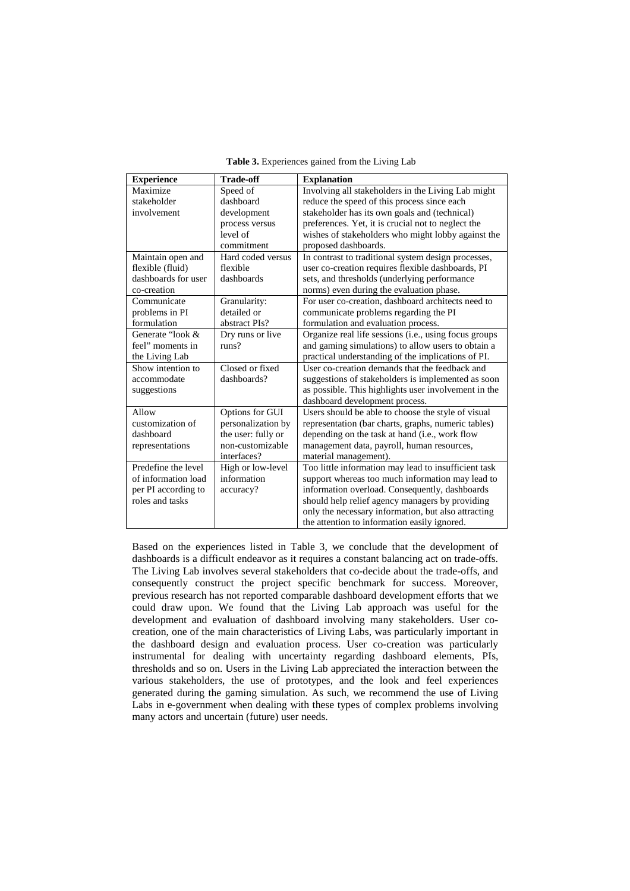| <b>Experience</b>   | <b>Trade-off</b>   | <b>Explanation</b>                                    |  |
|---------------------|--------------------|-------------------------------------------------------|--|
| Maximize            | Speed of           | Involving all stakeholders in the Living Lab might    |  |
| stakeholder         | dashboard          | reduce the speed of this process since each           |  |
| involvement         | development        | stakeholder has its own goals and (technical)         |  |
|                     | process versus     | preferences. Yet, it is crucial not to neglect the    |  |
|                     | level of           | wishes of stakeholders who might lobby against the    |  |
|                     | commitment         | proposed dashboards.                                  |  |
| Maintain open and   | Hard coded versus  | In contrast to traditional system design processes,   |  |
| flexible (fluid)    | flexible           | user co-creation requires flexible dashboards, PI     |  |
| dashboards for user | dashboards         | sets, and thresholds (underlying performance          |  |
| co-creation         |                    | norms) even during the evaluation phase.              |  |
| Communicate         | Granularity:       | For user co-creation, dashboard architects need to    |  |
| problems in PI      | detailed or        | communicate problems regarding the PI                 |  |
| formulation         | abstract PIs?      | formulation and evaluation process.                   |  |
| Generate "look &    | Dry runs or live   | Organize real life sessions (i.e., using focus groups |  |
| feel" moments in    | runs?              | and gaming simulations) to allow users to obtain a    |  |
| the Living Lab      |                    | practical understanding of the implications of PI.    |  |
| Show intention to   | Closed or fixed    | User co-creation demands that the feedback and        |  |
| accommodate         | dashboards?        | suggestions of stakeholders is implemented as soon    |  |
| suggestions         |                    | as possible. This highlights user involvement in the  |  |
|                     |                    | dashboard development process.                        |  |
| Allow               | Options for GUI    | Users should be able to choose the style of visual    |  |
| customization of    | personalization by | representation (bar charts, graphs, numeric tables)   |  |
| dashboard           | the user: fully or | depending on the task at hand (i.e., work flow        |  |
| representations     | non-customizable   | management data, payroll, human resources,            |  |
|                     | interfaces?        | material management).                                 |  |
| Predefine the level | High or low-level  | Too little information may lead to insufficient task  |  |
| of information load | information        | support whereas too much information may lead to      |  |
| per PI according to | accuracy?          | information overload. Consequently, dashboards        |  |
| roles and tasks     |                    | should help relief agency managers by providing       |  |
|                     |                    | only the necessary information, but also attracting   |  |
|                     |                    | the attention to information easily ignored.          |  |

**Table 3.** Experiences gained from the Living Lab

Based on the experiences listed in Table 3, we conclude that the development of dashboards is a difficult endeavor as it requires a constant balancing act on trade-offs. The Living Lab involves several stakeholders that co-decide about the trade-offs, and consequently construct the project specific benchmark for success. Moreover, previous research has not reported comparable dashboard development efforts that we could draw upon. We found that the Living Lab approach was useful for the development and evaluation of dashboard involving many stakeholders. User cocreation, one of the main characteristics of Living Labs, was particularly important in the dashboard design and evaluation process. User co-creation was particularly instrumental for dealing with uncertainty regarding dashboard elements, PIs, thresholds and so on. Users in the Living Lab appreciated the interaction between the various stakeholders, the use of prototypes, and the look and feel experiences generated during the gaming simulation. As such, we recommend the use of Living Labs in e-government when dealing with these types of complex problems involving many actors and uncertain (future) user needs.